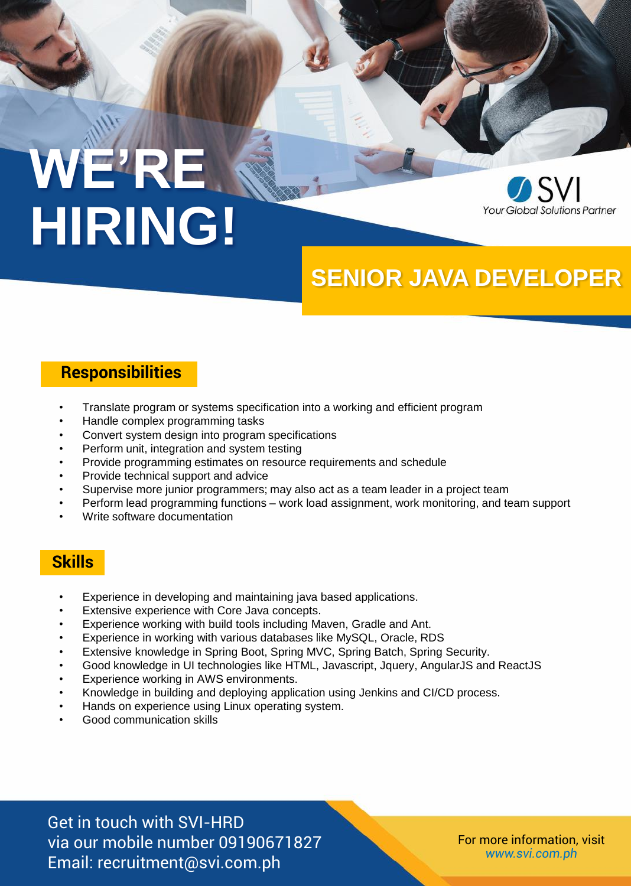# **WE'RE HIRING!**



## **SENIOR JAVA DEVELOPER**

#### **Responsibilities**

- Translate program or systems specification into a working and efficient program
- Handle complex programming tasks
- Convert system design into program specifications
- Perform unit, integration and system testing
- Provide programming estimates on resource requirements and schedule
- Provide technical support and advice
- Supervise more junior programmers; may also act as a team leader in a project team
- Perform lead programming functions work load assignment, work monitoring, and team support
- Write software documentation

#### **Skills**

- Experience in developing and maintaining java based applications.
- Extensive experience with Core Java concepts.
- Experience working with build tools including Maven, Gradle and Ant.
- Experience in working with various databases like MySQL, Oracle, RDS
- Extensive knowledge in Spring Boot, Spring MVC, Spring Batch, Spring Security.
- Good knowledge in UI technologies like HTML, Javascript, Jquery, AngularJS and ReactJS
- Experience working in AWS environments.
- Knowledge in building and deploying application using Jenkins and CI/CD process.
- Hands on experience using Linux operating system.
- Good communication skills

Get in touch with SVI-HRD via our mobile number 09190671827 Email: recruitment@svi.com.ph

For more information, visit *www.svi.com.ph*